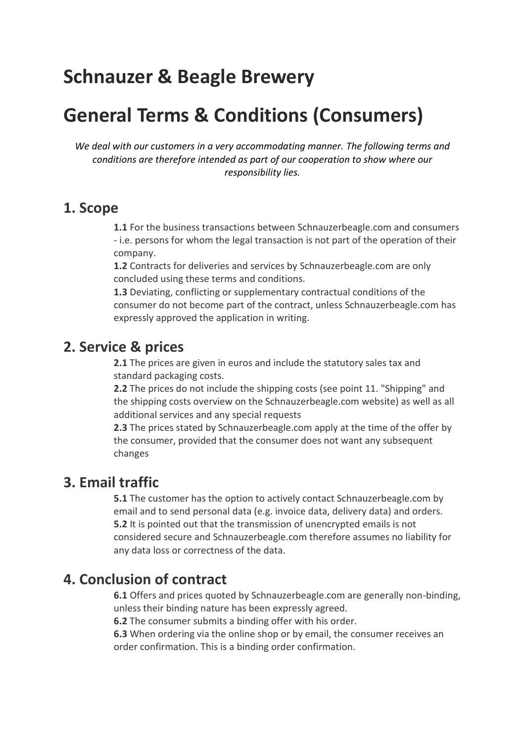# **Schnauzer & Beagle Brewery**

# **General Terms & Conditions (Consumers)**

*We deal with our customers in a very accommodating manner. The following terms and conditions are therefore intended as part of our cooperation to show where our responsibility lies.*

### **1. Scope**

**1.1** For the business transactions between Schnauzerbeagle.com and consumers - i.e. persons for whom the legal transaction is not part of the operation of their company.

**1.2** Contracts for deliveries and services by Schnauzerbeagle.com are only concluded using these terms and conditions.

**1.3** Deviating, conflicting or supplementary contractual conditions of the consumer do not become part of the contract, unless Schnauzerbeagle.com has expressly approved the application in writing.

## **2. Service & prices**

**2.1** The prices are given in euros and include the statutory sales tax and standard packaging costs.

**2.2** The prices do not include the shipping costs (see point 11. "Shipping" and the shipping costs overview on the Schnauzerbeagle.com website) as well as all additional services and any special requests

**2.3** The prices stated by Schnauzerbeagle.com apply at the time of the offer by the consumer, provided that the consumer does not want any subsequent changes

# **3. Email traffic**

**5.1** The customer has the option to actively contact Schnauzerbeagle.com by email and to send personal data (e.g. invoice data, delivery data) and orders. **5.2** It is pointed out that the transmission of unencrypted emails is not considered secure and Schnauzerbeagle.com therefore assumes no liability for any data loss or correctness of the data.

# **4. Conclusion of contract**

**6.1** Offers and prices quoted by Schnauzerbeagle.com are generally non-binding, unless their binding nature has been expressly agreed.

**6.2** The consumer submits a binding offer with his order.

**6.3** When ordering via the online shop or by email, the consumer receives an order confirmation. This is a binding order confirmation.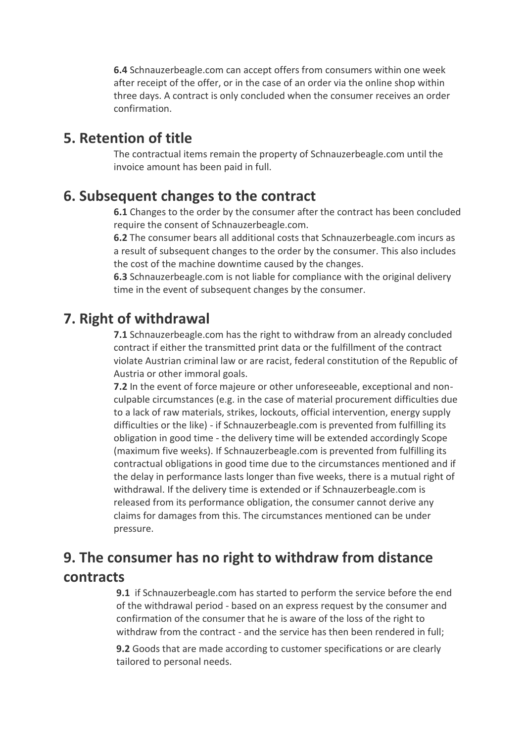**6.4** Schnauzerbeagle.com can accept offers from consumers within one week after receipt of the offer, or in the case of an order via the online shop within three days. A contract is only concluded when the consumer receives an order confirmation.

### **5. Retention of title**

The contractual items remain the property of Schnauzerbeagle.com until the invoice amount has been paid in full.

## **6. Subsequent changes to the contract**

**6.1** Changes to the order by the consumer after the contract has been concluded require the consent of Schnauzerbeagle.com.

**6.2** The consumer bears all additional costs that Schnauzerbeagle.com incurs as a result of subsequent changes to the order by the consumer. This also includes the cost of the machine downtime caused by the changes.

**6.3** Schnauzerbeagle.com is not liable for compliance with the original delivery time in the event of subsequent changes by the consumer.

## **7. Right of withdrawal**

**7.1** Schnauzerbeagle.com has the right to withdraw from an already concluded contract if either the transmitted print data or the fulfillment of the contract violate Austrian criminal law or are racist, federal constitution of the Republic of Austria or other immoral goals.

**7.2** In the event of force majeure or other unforeseeable, exceptional and nonculpable circumstances (e.g. in the case of material procurement difficulties due to a lack of raw materials, strikes, lockouts, official intervention, energy supply difficulties or the like) - if Schnauzerbeagle.com is prevented from fulfilling its obligation in good time - the delivery time will be extended accordingly Scope (maximum five weeks). If Schnauzerbeagle.com is prevented from fulfilling its contractual obligations in good time due to the circumstances mentioned and if the delay in performance lasts longer than five weeks, there is a mutual right of withdrawal. If the delivery time is extended or if Schnauzerbeagle.com is released from its performance obligation, the consumer cannot derive any claims for damages from this. The circumstances mentioned can be under pressure.

# **9. The consumer has no right to withdraw from distance contracts**

**9.1** if Schnauzerbeagle.com has started to perform the service before the end of the withdrawal period - based on an express request by the consumer and confirmation of the consumer that he is aware of the loss of the right to withdraw from the contract - and the service has then been rendered in full;

**9.2** Goods that are made according to customer specifications or are clearly tailored to personal needs.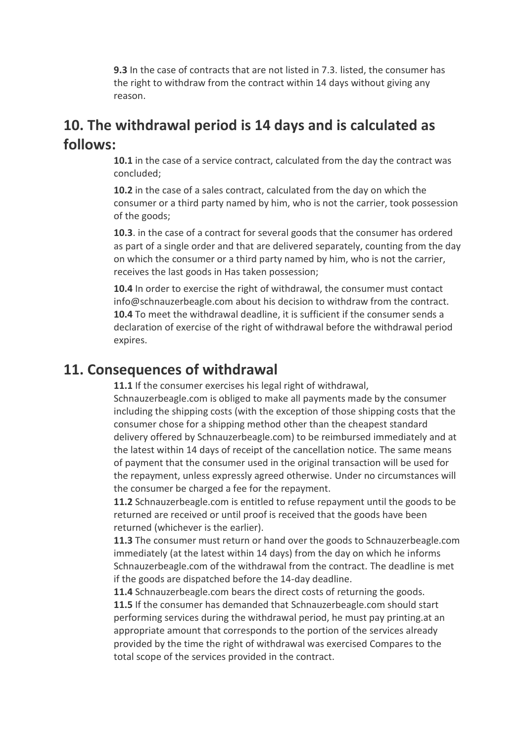**9.3** In the case of contracts that are not listed in 7.3. listed, the consumer has the right to withdraw from the contract within 14 days without giving any reason.

# **10. The withdrawal period is 14 days and is calculated as follows:**

**10.1** in the case of a service contract, calculated from the day the contract was concluded;

**10.2** in the case of a sales contract, calculated from the day on which the consumer or a third party named by him, who is not the carrier, took possession of the goods;

**10.3**. in the case of a contract for several goods that the consumer has ordered as part of a single order and that are delivered separately, counting from the day on which the consumer or a third party named by him, who is not the carrier, receives the last goods in Has taken possession;

**10.4** In order to exercise the right of withdrawal, the consumer must contact info@schnauzerbeagle.com about his decision to withdraw from the contract. **10.4** To meet the withdrawal deadline, it is sufficient if the consumer sends a declaration of exercise of the right of withdrawal before the withdrawal period expires.

### **11. Consequences of withdrawal**

**11.1** If the consumer exercises his legal right of withdrawal,

Schnauzerbeagle.com is obliged to make all payments made by the consumer including the shipping costs (with the exception of those shipping costs that the consumer chose for a shipping method other than the cheapest standard delivery offered by Schnauzerbeagle.com) to be reimbursed immediately and at the latest within 14 days of receipt of the cancellation notice. The same means of payment that the consumer used in the original transaction will be used for the repayment, unless expressly agreed otherwise. Under no circumstances will the consumer be charged a fee for the repayment.

**11.2** Schnauzerbeagle.com is entitled to refuse repayment until the goods to be returned are received or until proof is received that the goods have been returned (whichever is the earlier).

**11.3** The consumer must return or hand over the goods to Schnauzerbeagle.com immediately (at the latest within 14 days) from the day on which he informs Schnauzerbeagle.com of the withdrawal from the contract. The deadline is met if the goods are dispatched before the 14-day deadline.

**11.4** Schnauzerbeagle.com bears the direct costs of returning the goods. **11.5** If the consumer has demanded that Schnauzerbeagle.com should start performing services during the withdrawal period, he must pay printing.at an appropriate amount that corresponds to the portion of the services already provided by the time the right of withdrawal was exercised Compares to the total scope of the services provided in the contract.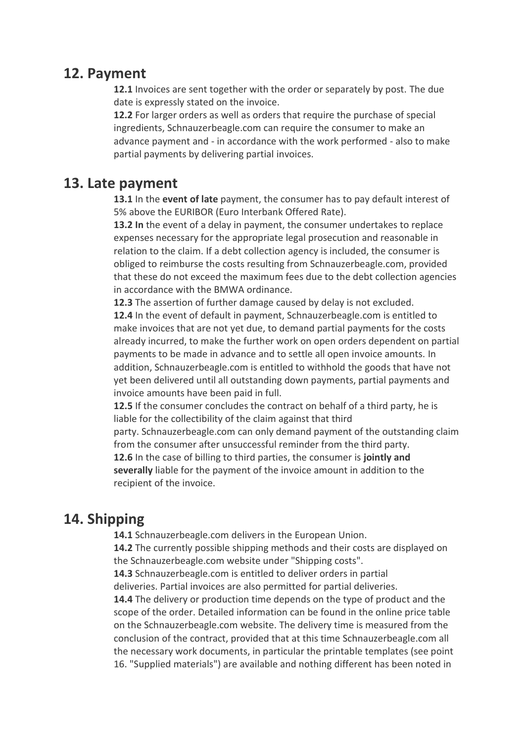### **12. Payment**

**12.1** Invoices are sent together with the order or separately by post. The due date is expressly stated on the invoice.

**12.2** For larger orders as well as orders that require the purchase of special ingredients, Schnauzerbeagle.com can require the consumer to make an advance payment and - in accordance with the work performed - also to make partial payments by delivering partial invoices.

## **13. Late payment**

**13.1** In the **event of late** payment, the consumer has to pay default interest of 5% above the EURIBOR (Euro Interbank Offered Rate).

**13.2 In** the event of a delay in payment, the consumer undertakes to replace expenses necessary for the appropriate legal prosecution and reasonable in relation to the claim. If a debt collection agency is included, the consumer is obliged to reimburse the costs resulting from Schnauzerbeagle.com, provided that these do not exceed the maximum fees due to the debt collection agencies in accordance with the BMWA ordinance.

**12.3** The assertion of further damage caused by delay is not excluded. **12.4** In the event of default in payment, Schnauzerbeagle.com is entitled to make invoices that are not yet due, to demand partial payments for the costs already incurred, to make the further work on open orders dependent on partial payments to be made in advance and to settle all open invoice amounts. In addition, Schnauzerbeagle.com is entitled to withhold the goods that have not yet been delivered until all outstanding down payments, partial payments and invoice amounts have been paid in full.

**12.5** If the consumer concludes the contract on behalf of a third party, he is liable for the collectibility of the claim against that third

party. Schnauzerbeagle.com can only demand payment of the outstanding claim from the consumer after unsuccessful reminder from the third party.

**12.6** In the case of billing to third parties, the consumer is **jointly and severally** liable for the payment of the invoice amount in addition to the recipient of the invoice.

# **14. Shipping**

**14.1** Schnauzerbeagle.com delivers in the European Union.

**14.2** The currently possible shipping methods and their costs are displayed on the Schnauzerbeagle.com website under "Shipping costs".

**14.3** Schnauzerbeagle.com is entitled to deliver orders in partial

deliveries. Partial invoices are also permitted for partial deliveries.

**14.4** The delivery or production time depends on the type of product and the scope of the order. Detailed information can be found in the online price table on the Schnauzerbeagle.com website. The delivery time is measured from the conclusion of the contract, provided that at this time Schnauzerbeagle.com all the necessary work documents, in particular the printable templates (see point 16. "Supplied materials") are available and nothing different has been noted in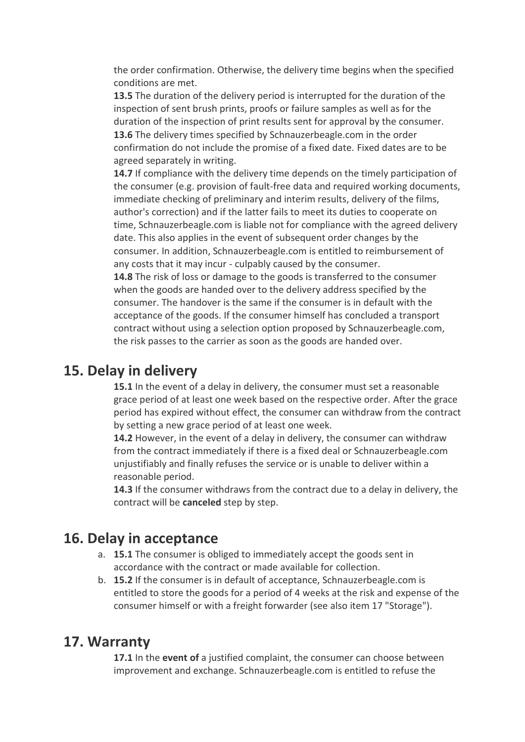the order confirmation. Otherwise, the delivery time begins when the specified conditions are met.

**13.5** The duration of the delivery period is interrupted for the duration of the inspection of sent brush prints, proofs or failure samples as well as for the duration of the inspection of print results sent for approval by the consumer. **13.6** The delivery times specified by Schnauzerbeagle.com in the order confirmation do not include the promise of a fixed date. Fixed dates are to be agreed separately in writing.

**14.7** If compliance with the delivery time depends on the timely participation of the consumer (e.g. provision of fault-free data and required working documents, immediate checking of preliminary and interim results, delivery of the films, author's correction) and if the latter fails to meet its duties to cooperate on time, Schnauzerbeagle.com is liable not for compliance with the agreed delivery date. This also applies in the event of subsequent order changes by the consumer. In addition, Schnauzerbeagle.com is entitled to reimbursement of any costs that it may incur - culpably caused by the consumer.

**14.8** The risk of loss or damage to the goods is transferred to the consumer when the goods are handed over to the delivery address specified by the consumer. The handover is the same if the consumer is in default with the acceptance of the goods. If the consumer himself has concluded a transport contract without using a selection option proposed by Schnauzerbeagle.com, the risk passes to the carrier as soon as the goods are handed over.

## **15. Delay in delivery**

**15.1** In the event of a delay in delivery, the consumer must set a reasonable grace period of at least one week based on the respective order. After the grace period has expired without effect, the consumer can withdraw from the contract by setting a new grace period of at least one week.

**14.2** However, in the event of a delay in delivery, the consumer can withdraw from the contract immediately if there is a fixed deal or Schnauzerbeagle.com unjustifiably and finally refuses the service or is unable to deliver within a reasonable period.

**14.3** If the consumer withdraws from the contract due to a delay in delivery, the contract will be **canceled** step by step.

### **16. Delay in acceptance**

- a. **15.1** The consumer is obliged to immediately accept the goods sent in accordance with the contract or made available for collection.
- b. **15.2** If the consumer is in default of acceptance, Schnauzerbeagle.com is entitled to store the goods for a period of 4 weeks at the risk and expense of the consumer himself or with a freight forwarder (see also item 17 "Storage").

## **17. Warranty**

**17.1** In the **event of** a justified complaint, the consumer can choose between improvement and exchange. Schnauzerbeagle.com is entitled to refuse the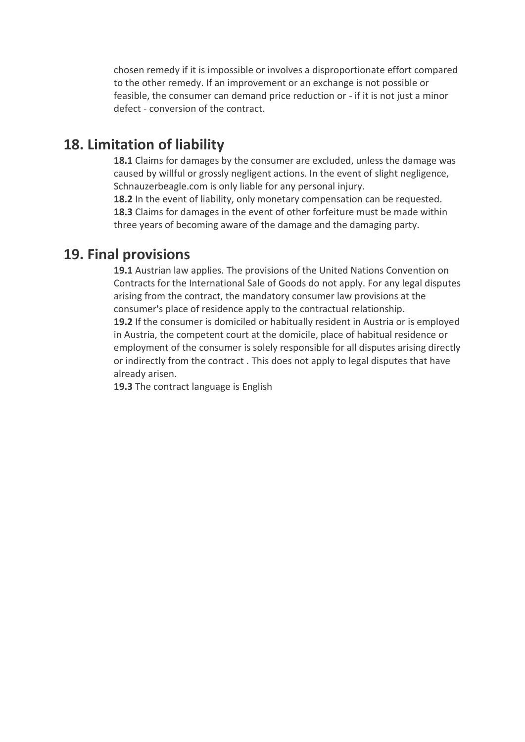chosen remedy if it is impossible or involves a disproportionate effort compared to the other remedy. If an improvement or an exchange is not possible or feasible, the consumer can demand price reduction or - if it is not just a minor defect - conversion of the contract.

# **18. Limitation of liability**

**18.1** Claims for damages by the consumer are excluded, unless the damage was caused by willful or grossly negligent actions. In the event of slight negligence, Schnauzerbeagle.com is only liable for any personal injury.

**18.2** In the event of liability, only monetary compensation can be requested. **18.3** Claims for damages in the event of other forfeiture must be made within three years of becoming aware of the damage and the damaging party.

## **19. Final provisions**

**19.1** Austrian law applies. The provisions of the United Nations Convention on Contracts for the International Sale of Goods do not apply. For any legal disputes arising from the contract, the mandatory consumer law provisions at the consumer's place of residence apply to the contractual relationship. **19.2** If the consumer is domiciled or habitually resident in Austria or is employed in Austria, the competent court at the domicile, place of habitual residence or employment of the consumer is solely responsible for all disputes arising directly or indirectly from the contract . This does not apply to legal disputes that have already arisen.

**19.3** The contract language is English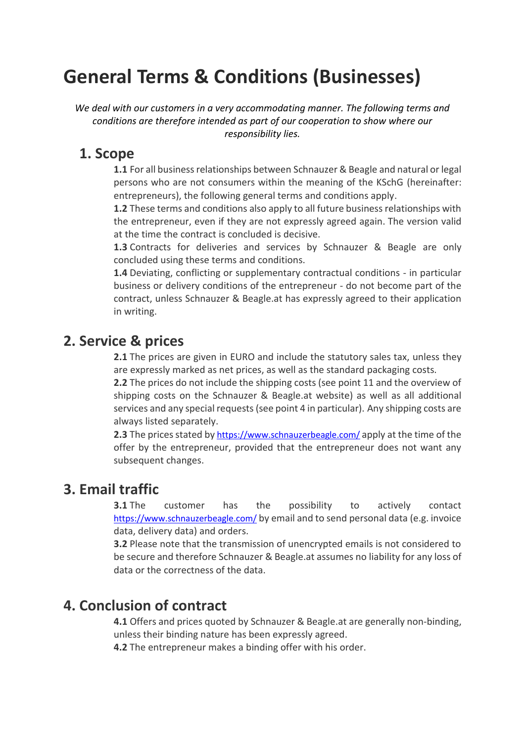# **General Terms & Conditions (Businesses)**

*We deal with our customers in a very accommodating manner. The following terms and conditions are therefore intended as part of our cooperation to show where our responsibility lies.*

## **1. Scope**

**1.1** For all business relationships between Schnauzer & Beagle and natural or legal persons who are not consumers within the meaning of the KSchG (hereinafter: entrepreneurs), the following general terms and conditions apply.

**1.2** These terms and conditions also apply to all future business relationships with the entrepreneur, even if they are not expressly agreed again. The version valid at the time the contract is concluded is decisive.

**1.3** Contracts for deliveries and services by Schnauzer & Beagle are only concluded using these terms and conditions.

**1.4** Deviating, conflicting or supplementary contractual conditions - in particular business or delivery conditions of the entrepreneur - do not become part of the contract, unless Schnauzer & Beagle.at has expressly agreed to their application in writing.

# **2. Service & prices**

**2.1** The prices are given in EURO and include the statutory sales tax, unless they are expressly marked as net prices, as well as the standard packaging costs.

**2.2** The prices do not include the shipping costs (see point 11 and the overview of shipping costs on the Schnauzer & Beagle.at website) as well as all additional services and any special requests (see point 4 in particular). Any shipping costs are always listed separately.

**2.3** The prices stated by <https://www.schnauzerbeagle.com/> apply at the time of the offer by the entrepreneur, provided that the entrepreneur does not want any subsequent changes.

# **3. Email traffic**

**3.1** The customer has the possibility to actively contact <https://www.schnauzerbeagle.com/> by email and to send personal data (e.g. invoice data, delivery data) and orders.

**3.2** Please note that the transmission of unencrypted emails is not considered to be secure and therefore Schnauzer & Beagle.at assumes no liability for any loss of data or the correctness of the data.

# **4. Conclusion of contract**

**4.1** Offers and prices quoted by Schnauzer & Beagle.at are generally non-binding, unless their binding nature has been expressly agreed.

**4.2** The entrepreneur makes a binding offer with his order.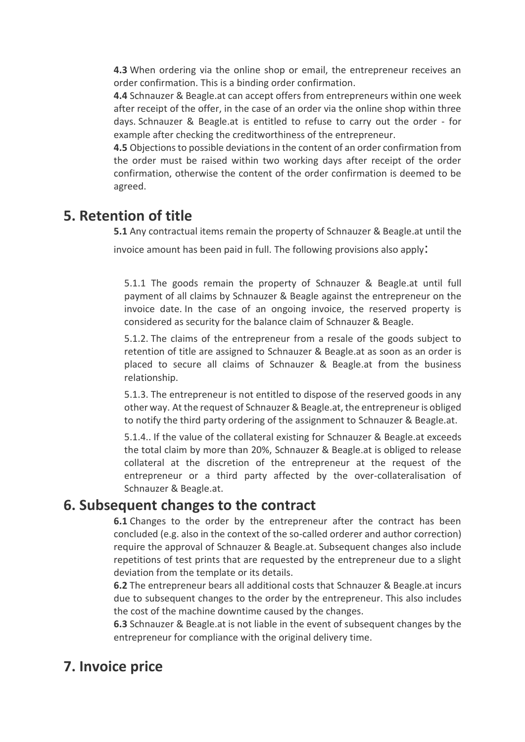**4.3** When ordering via the online shop or email, the entrepreneur receives an order confirmation. This is a binding order confirmation.

**4.4** Schnauzer & Beagle.at can accept offers from entrepreneurs within one week after receipt of the offer, in the case of an order via the online shop within three days. Schnauzer & Beagle.at is entitled to refuse to carry out the order - for example after checking the creditworthiness of the entrepreneur.

**4.5** Objections to possible deviations in the content of an order confirmation from the order must be raised within two working days after receipt of the order confirmation, otherwise the content of the order confirmation is deemed to be agreed.

# **5. Retention of title**

**5.1** Any contractual items remain the property of Schnauzer & Beagle.at until the invoice amount has been paid in full. The following provisions also apply:

5.1.1 The goods remain the property of Schnauzer & Beagle.at until full payment of all claims by Schnauzer & Beagle against the entrepreneur on the invoice date. In the case of an ongoing invoice, the reserved property is considered as security for the balance claim of Schnauzer & Beagle.

5.1.2. The claims of the entrepreneur from a resale of the goods subject to retention of title are assigned to Schnauzer & Beagle.at as soon as an order is placed to secure all claims of Schnauzer & Beagle.at from the business relationship.

5.1.3. The entrepreneur is not entitled to dispose of the reserved goods in any other way. At the request of Schnauzer & Beagle.at, the entrepreneur is obliged to notify the third party ordering of the assignment to Schnauzer & Beagle.at.

5.1.4.. If the value of the collateral existing for Schnauzer & Beagle.at exceeds the total claim by more than 20%, Schnauzer & Beagle.at is obliged to release collateral at the discretion of the entrepreneur at the request of the entrepreneur or a third party affected by the over-collateralisation of Schnauzer & Beagle.at.

### **6. Subsequent changes to the contract**

**6.1** Changes to the order by the entrepreneur after the contract has been concluded (e.g. also in the context of the so-called orderer and author correction) require the approval of Schnauzer & Beagle.at. Subsequent changes also include repetitions of test prints that are requested by the entrepreneur due to a slight deviation from the template or its details.

**6.2** The entrepreneur bears all additional costs that Schnauzer & Beagle.at incurs due to subsequent changes to the order by the entrepreneur. This also includes the cost of the machine downtime caused by the changes.

**6.3** Schnauzer & Beagle.at is not liable in the event of subsequent changes by the entrepreneur for compliance with the original delivery time.

# **7. Invoice price**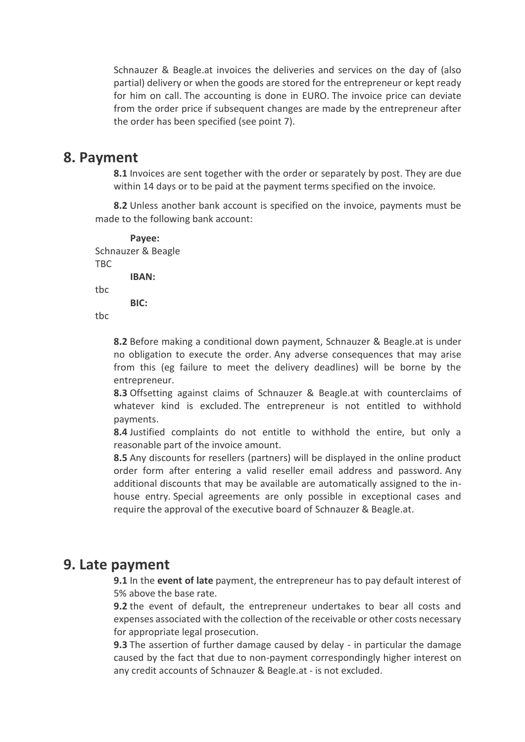Schnauzer & Beagle.at invoices the deliveries and services on the day of (also partial) delivery or when the goods are stored for the entrepreneur or kept ready for him on call. The accounting is done in EURO. The invoice price can deviate from the order price if subsequent changes are made by the entrepreneur after the order has been specified (see point 7).

#### **8. Payment**

**8.1** Invoices are sent together with the order or separately by post. They are due within 14 days or to be paid at the payment terms specified on the invoice.

**8.2** Unless another bank account is specified on the invoice, payments must be made to the following bank account:

**Payee:** Schnauzer & Beagle TBC **IBAN:** tbc **BIC:**

tbc

**8.2** Before making a conditional down payment, Schnauzer & Beagle.at is under no obligation to execute the order. Any adverse consequences that may arise from this (eg failure to meet the delivery deadlines) will be borne by the entrepreneur.

**8.3** Offsetting against claims of Schnauzer & Beagle.at with counterclaims of whatever kind is excluded. The entrepreneur is not entitled to withhold payments.

**8.4** Justified complaints do not entitle to withhold the entire, but only a reasonable part of the invoice amount.

**8.5** Any discounts for resellers (partners) will be displayed in the online product order form after entering a valid reseller email address and password. Any additional discounts that may be available are automatically assigned to the inhouse entry. Special agreements are only possible in exceptional cases and require the approval of the executive board of Schnauzer & Beagle.at.

#### **9. Late payment**

**9.1** In the **event of late** payment, the entrepreneur has to pay default interest of 5% above the base rate.

**9.2** the event of default, the entrepreneur undertakes to bear all costs and expenses associated with the collection of the receivable or other costs necessary for appropriate legal prosecution.

**9.3** The assertion of further damage caused by delay - in particular the damage caused by the fact that due to non-payment correspondingly higher interest on any credit accounts of Schnauzer & Beagle.at - is not excluded.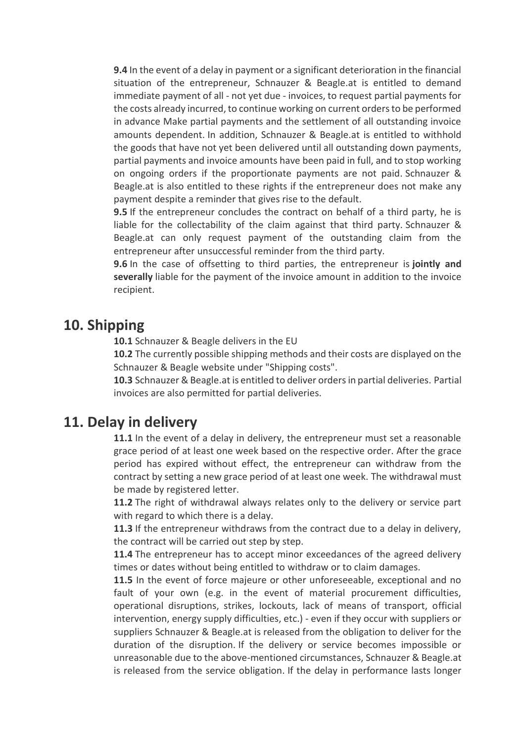**9.4** In the event of a delay in payment or a significant deterioration in the financial situation of the entrepreneur, Schnauzer & Beagle.at is entitled to demand immediate payment of all - not yet due - invoices, to request partial payments for the costs already incurred, to continue working on current orders to be performed in advance Make partial payments and the settlement of all outstanding invoice amounts dependent. In addition, Schnauzer & Beagle.at is entitled to withhold the goods that have not yet been delivered until all outstanding down payments, partial payments and invoice amounts have been paid in full, and to stop working on ongoing orders if the proportionate payments are not paid. Schnauzer & Beagle.at is also entitled to these rights if the entrepreneur does not make any payment despite a reminder that gives rise to the default.

**9.5** If the entrepreneur concludes the contract on behalf of a third party, he is liable for the collectability of the claim against that third party. Schnauzer & Beagle.at can only request payment of the outstanding claim from the entrepreneur after unsuccessful reminder from the third party.

**9.6** In the case of offsetting to third parties, the entrepreneur is **jointly and severally** liable for the payment of the invoice amount in addition to the invoice recipient.

### **10. Shipping**

**10.1** Schnauzer & Beagle delivers in the EU

**10.2** The currently possible shipping methods and their costs are displayed on the Schnauzer & Beagle website under "Shipping costs".

**10.3** Schnauzer & Beagle.at is entitled to deliver orders in partial deliveries. Partial invoices are also permitted for partial deliveries.

### **11. Delay in delivery**

**11.1** In the event of a delay in delivery, the entrepreneur must set a reasonable grace period of at least one week based on the respective order. After the grace period has expired without effect, the entrepreneur can withdraw from the contract by setting a new grace period of at least one week. The withdrawal must be made by registered letter.

**11.2** The right of withdrawal always relates only to the delivery or service part with regard to which there is a delay.

**11.3** If the entrepreneur withdraws from the contract due to a delay in delivery, the contract will be carried out step by step.

**11.4** The entrepreneur has to accept minor exceedances of the agreed delivery times or dates without being entitled to withdraw or to claim damages.

**11.5** In the event of force majeure or other unforeseeable, exceptional and no fault of your own (e.g. in the event of material procurement difficulties, operational disruptions, strikes, lockouts, lack of means of transport, official intervention, energy supply difficulties, etc.) - even if they occur with suppliers or suppliers Schnauzer & Beagle.at is released from the obligation to deliver for the duration of the disruption. If the delivery or service becomes impossible or unreasonable due to the above-mentioned circumstances, Schnauzer & Beagle.at is released from the service obligation. If the delay in performance lasts longer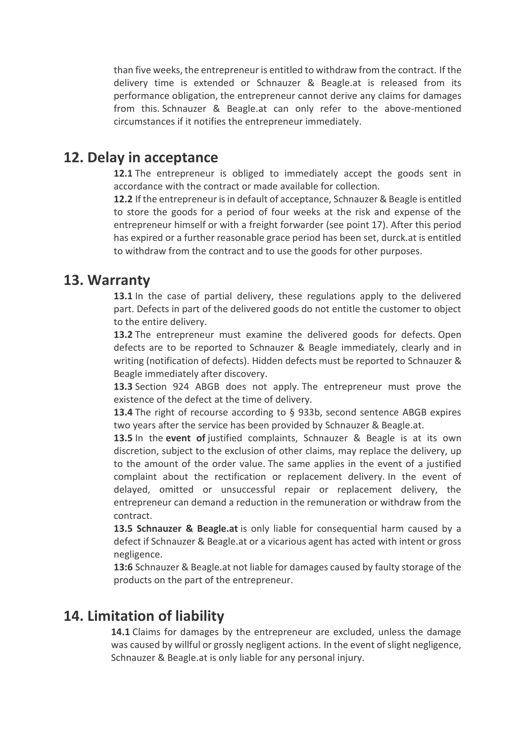than five weeks, the entrepreneur is entitled to withdraw from the contract. If the delivery time is extended or Schnauzer & Beagle.at is released from its performance obligation, the entrepreneur cannot derive any claims for damages from this. Schnauzer & Beagle.at can only refer to the above-mentioned circumstances if it notifies the entrepreneur immediately.

### **12. Delay in acceptance**

**12.1** The entrepreneur is obliged to immediately accept the goods sent in accordance with the contract or made available for collection.

**12.2** If the entrepreneur is in default of acceptance, Schnauzer & Beagle is entitled to store the goods for a period of four weeks at the risk and expense of the entrepreneur himself or with a freight forwarder (see point 17). After this period has expired or a further reasonable grace period has been set, durck.at is entitled to withdraw from the contract and to use the goods for other purposes.

#### **13. Warranty**

**13.1** In the case of partial delivery, these regulations apply to the delivered part. Defects in part of the delivered goods do not entitle the customer to object to the entire delivery.

**13.2** The entrepreneur must examine the delivered goods for defects. Open defects are to be reported to Schnauzer & Beagle immediately, clearly and in writing (notification of defects). Hidden defects must be reported to Schnauzer & Beagle immediately after discovery.

**13.3** Section 924 ABGB does not apply. The entrepreneur must prove the existence of the defect at the time of delivery.

**13.4** The right of recourse according to § 933b, second sentence ABGB expires two years after the service has been provided by Schnauzer & Beagle.at.

**13.5** In the **event of** justified complaints, Schnauzer & Beagle is at its own discretion, subject to the exclusion of other claims, may replace the delivery, up to the amount of the order value. The same applies in the event of a justified complaint about the rectification or replacement delivery. In the event of delayed, omitted or unsuccessful repair or replacement delivery, the entrepreneur can demand a reduction in the remuneration or withdraw from the contract.

**13.5 Schnauzer & Beagle.at** is only liable for consequential harm caused by a defect if Schnauzer & Beagle.at or a vicarious agent has acted with intent or gross negligence.

**13:6** Schnauzer & Beagle.at not liable for damages caused by faulty storage of the products on the part of the entrepreneur.

### **14. Limitation of liability**

**14.1** Claims for damages by the entrepreneur are excluded, unless the damage was caused by willful or grossly negligent actions. In the event of slight negligence, Schnauzer & Beagle.at is only liable for any personal injury.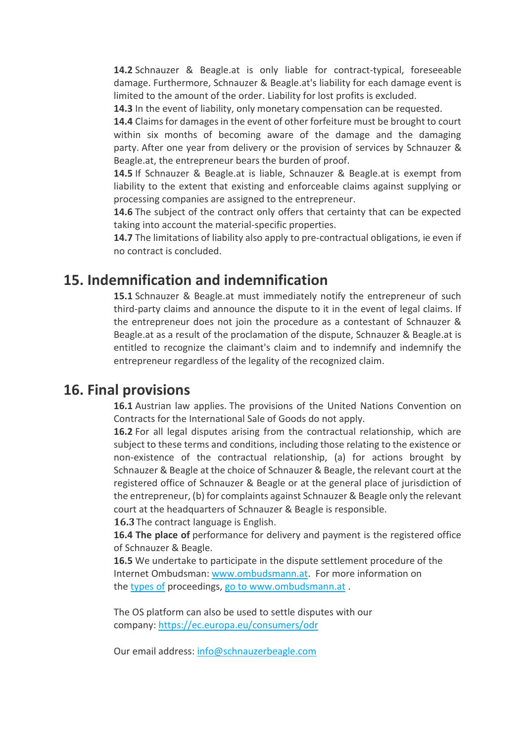**14.2** Schnauzer & Beagle.at is only liable for contract-typical, foreseeable damage. Furthermore, Schnauzer & Beagle.at's liability for each damage event is limited to the amount of the order. Liability for lost profits is excluded.

**14.3** In the event of liability, only monetary compensation can be requested.

**14.4** Claims for damages in the event of other forfeiture must be brought to court within six months of becoming aware of the damage and the damaging party. After one year from delivery or the provision of services by Schnauzer & Beagle.at, the entrepreneur bears the burden of proof.

**14.5** If Schnauzer & Beagle.at is liable, Schnauzer & Beagle.at is exempt from liability to the extent that existing and enforceable claims against supplying or processing companies are assigned to the entrepreneur.

**14.6** The subject of the contract only offers that certainty that can be expected taking into account the material-specific properties.

**14.7** The limitations of liability also apply to pre-contractual obligations, ie even if no contract is concluded.

### **15. Indemnification and indemnification**

**15.1** Schnauzer & Beagle.at must immediately notify the entrepreneur of such third-party claims and announce the dispute to it in the event of legal claims. If the entrepreneur does not join the procedure as a contestant of Schnauzer & Beagle.at as a result of the proclamation of the dispute, Schnauzer & Beagle.at is entitled to recognize the claimant's claim and to indemnify and indemnify the entrepreneur regardless of the legality of the recognized claim.

### **16. Final provisions**

**16.1** Austrian law applies. The provisions of the United Nations Convention on Contracts for the International Sale of Goods do not apply.

**16.2** For all legal disputes arising from the contractual relationship, which are subject to these terms and conditions, including those relating to the existence or non-existence of the contractual relationship, (a) for actions brought by Schnauzer & Beagle at the choice of Schnauzer & Beagle, the relevant court at the registered office of Schnauzer & Beagle or at the general place of jurisdiction of the entrepreneur, (b) for complaints against Schnauzer & Beagle only the relevant court at the headquarters of Schnauzer & Beagle is responsible.

**16.3**The contract language is English.

**16.4 The place of** performance for delivery and payment is the registered office of Schnauzer & Beagle.

**16.5** We undertake to participate in the dispute settlement procedure of the Internet Ombudsman: [www.ombudsmann.at.](http://www.ombudsmann.at/) For more information on the [types](http://www.ombudsmann.at/) of proceedings, go to [www.ombudsmann.at](http://www.ombudsmann.at/) .

The OS platform can also be used to settle disputes with our company: <https://ec.europa.eu/consumers/odr>

Our email address: info@schnauzerbeagle.com